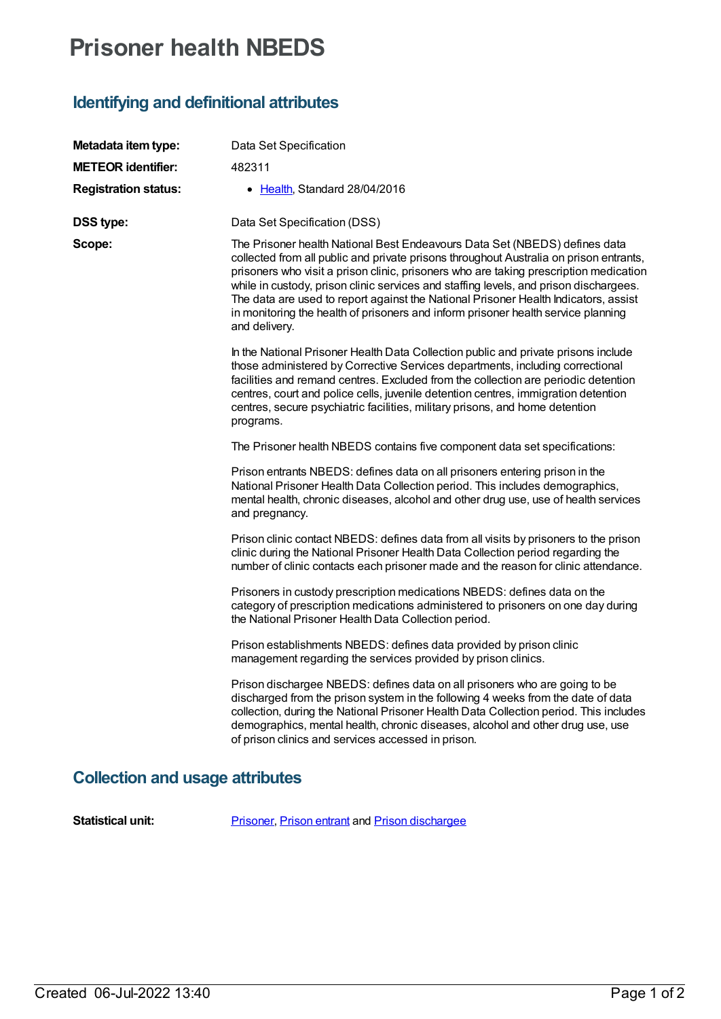# **Prisoner health NBEDS**

## **Identifying and definitional attributes**

| Metadata item type:         | Data Set Specification                                                                                                                                                                                                                                                                                                                                                                                                                                                                                                                              |
|-----------------------------|-----------------------------------------------------------------------------------------------------------------------------------------------------------------------------------------------------------------------------------------------------------------------------------------------------------------------------------------------------------------------------------------------------------------------------------------------------------------------------------------------------------------------------------------------------|
| <b>METEOR identifier:</b>   | 482311                                                                                                                                                                                                                                                                                                                                                                                                                                                                                                                                              |
| <b>Registration status:</b> | • Health, Standard 28/04/2016                                                                                                                                                                                                                                                                                                                                                                                                                                                                                                                       |
| <b>DSS type:</b>            | Data Set Specification (DSS)                                                                                                                                                                                                                                                                                                                                                                                                                                                                                                                        |
| Scope:                      | The Prisoner health National Best Endeavours Data Set (NBEDS) defines data<br>collected from all public and private prisons throughout Australia on prison entrants,<br>prisoners who visit a prison clinic, prisoners who are taking prescription medication<br>while in custody, prison clinic services and staffing levels, and prison dischargees.<br>The data are used to report against the National Prisoner Health Indicators, assist<br>in monitoring the health of prisoners and inform prisoner health service planning<br>and delivery. |
|                             | In the National Prisoner Health Data Collection public and private prisons include<br>those administered by Corrective Services departments, including correctional<br>facilities and remand centres. Excluded from the collection are periodic detention<br>centres, court and police cells, juvenile detention centres, immigration detention<br>centres, secure psychiatric facilities, military prisons, and home detention<br>programs.                                                                                                        |
|                             | The Prisoner health NBEDS contains five component data set specifications:                                                                                                                                                                                                                                                                                                                                                                                                                                                                          |
|                             | Prison entrants NBEDS: defines data on all prisoners entering prison in the<br>National Prisoner Health Data Collection period. This includes demographics,<br>mental health, chronic diseases, alcohol and other drug use, use of health services<br>and pregnancy.                                                                                                                                                                                                                                                                                |
|                             | Prison clinic contact NBEDS: defines data from all visits by prisoners to the prison<br>clinic during the National Prisoner Health Data Collection period regarding the<br>number of clinic contacts each prisoner made and the reason for clinic attendance.                                                                                                                                                                                                                                                                                       |
|                             | Prisoners in custody prescription medications NBEDS: defines data on the<br>category of prescription medications administered to prisoners on one day during<br>the National Prisoner Health Data Collection period.                                                                                                                                                                                                                                                                                                                                |
|                             | Prison establishments NBEDS: defines data provided by prison clinic<br>management regarding the services provided by prison clinics.                                                                                                                                                                                                                                                                                                                                                                                                                |
|                             | Prison dischargee NBEDS: defines data on all prisoners who are going to be<br>discharged from the prison system in the following 4 weeks from the date of data<br>collection, during the National Prisoner Health Data Collection period. This includes<br>demographics, mental health, chronic diseases, alcohol and other drug use, use<br>of prison clinics and services accessed in prison.                                                                                                                                                     |

# **Collection and usage attributes**

**Statistical unit:** [Prisoner](file:///content/399172), [Prison](file:///content/348021) entrant and Prison [dischargee](file:///content/482300)